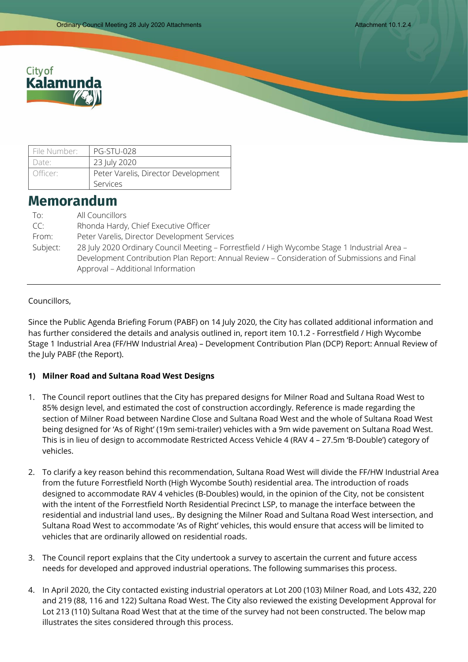

| File Number:                                    | <b>PG-STU-028</b> |
|-------------------------------------------------|-------------------|
| Date:                                           | 23 July 2020      |
| Peter Varelis, Director Development<br>Officer: |                   |
|                                                 | Services          |

# **Memorandum**

| To:      | All Councillors                                                                               |
|----------|-----------------------------------------------------------------------------------------------|
| CC:      | Rhonda Hardy, Chief Executive Officer                                                         |
| From:    | Peter Varelis, Director Development Services                                                  |
| Subject: | 28 July 2020 Ordinary Council Meeting - Forrestfield / High Wycombe Stage 1 Industrial Area - |
|          | Development Contribution Plan Report: Annual Review - Consideration of Submissions and Final  |
|          | Approval - Additional Information                                                             |

### Councillors,

Since the Public Agenda Briefing Forum (PABF) on 14 July 2020, the City has collated additional information and has further considered the details and analysis outlined in, report item 10.1.2 - Forrestfield / High Wycombe Stage 1 Industrial Area (FF/HW Industrial Area) – Development Contribution Plan (DCP) Report: Annual Review of the July PABF (the Report).

#### **1) Milner Road and Sultana Road West Designs**

- 1. The Council report outlines that the City has prepared designs for Milner Road and Sultana Road West to 85% design level, and estimated the cost of construction accordingly. Reference is made regarding the section of Milner Road between Nardine Close and Sultana Road West and the whole of Sultana Road West being designed for 'As of Right' (19m semi-trailer) vehicles with a 9m wide pavement on Sultana Road West. This is in lieu of design to accommodate Restricted Access Vehicle 4 (RAV 4 – 27.5m 'B-Double') category of vehicles.
- 2. To clarify a key reason behind this recommendation, Sultana Road West will divide the FF/HW Industrial Area from the future Forrestfield North (High Wycombe South) residential area. The introduction of roads designed to accommodate RAV 4 vehicles (B-Doubles) would, in the opinion of the City, not be consistent with the intent of the Forrestfield North Residential Precinct LSP, to manage the interface between the residential and industrial land uses,. By designing the Milner Road and Sultana Road West intersection, and Sultana Road West to accommodate 'As of Right' vehicles, this would ensure that access will be limited to vehicles that are ordinarily allowed on residential roads.
- 3. The Council report explains that the City undertook a survey to ascertain the current and future access needs for developed and approved industrial operations. The following summarises this process.
- 4. In April 2020, the City contacted existing industrial operators at Lot 200 (103) Milner Road, and Lots 432, 220 and 219 (88, 116 and 122) Sultana Road West. The City also reviewed the existing Development Approval for Lot 213 (110) Sultana Road West that at the time of the survey had not been constructed. The below map illustrates the sites considered through this process.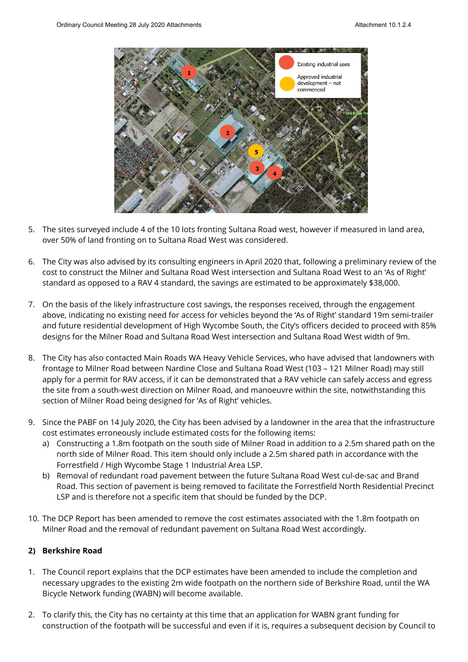

- 5. The sites surveyed include 4 of the 10 lots fronting Sultana Road west, however if measured in land area, over 50% of land fronting on to Sultana Road West was considered.
- 6. The City was also advised by its consulting engineers in April 2020 that, following a preliminary review of the cost to construct the Milner and Sultana Road West intersection and Sultana Road West to an 'As of Right' standard as opposed to a RAV 4 standard, the savings are estimated to be approximately \$38,000.
- 7. On the basis of the likely infrastructure cost savings, the responses received, through the engagement above, indicating no existing need for access for vehicles beyond the 'As of Right' standard 19m semi-trailer and future residential development of High Wycombe South, the City's officers decided to proceed with 85% designs for the Milner Road and Sultana Road West intersection and Sultana Road West width of 9m.
- 8. The City has also contacted Main Roads WA Heavy Vehicle Services, who have advised that landowners with frontage to Milner Road between Nardine Close and Sultana Road West (103 – 121 Milner Road) may still apply for a permit for RAV access, if it can be demonstrated that a RAV vehicle can safely access and egress the site from a south-west direction on Milner Road, and manoeuvre within the site, notwithstanding this section of Milner Road being designed for 'As of Right' vehicles.
- 9. Since the PABF on 14 July 2020, the City has been advised by a landowner in the area that the infrastructure cost estimates erroneously include estimated costs for the following items:
	- a) Constructing a 1.8m footpath on the south side of Milner Road in addition to a 2.5m shared path on the north side of Milner Road. This item should only include a 2.5m shared path in accordance with the Forrestfield / High Wycombe Stage 1 Industrial Area LSP.
	- b) Removal of redundant road pavement between the future Sultana Road West cul-de-sac and Brand Road. This section of pavement is being removed to facilitate the Forrestfield North Residential Precinct LSP and is therefore not a specific item that should be funded by the DCP.
- 10. The DCP Report has been amended to remove the cost estimates associated with the 1.8m footpath on Milner Road and the removal of redundant pavement on Sultana Road West accordingly.

#### **2) Berkshire Road**

- 1. The Council report explains that the DCP estimates have been amended to include the completion and necessary upgrades to the existing 2m wide footpath on the northern side of Berkshire Road, until the WA Bicycle Network funding (WABN) will become available.
- 2. To clarify this, the City has no certainty at this time that an application for WABN grant funding for construction of the footpath will be successful and even if it is, requires a subsequent decision by Council to